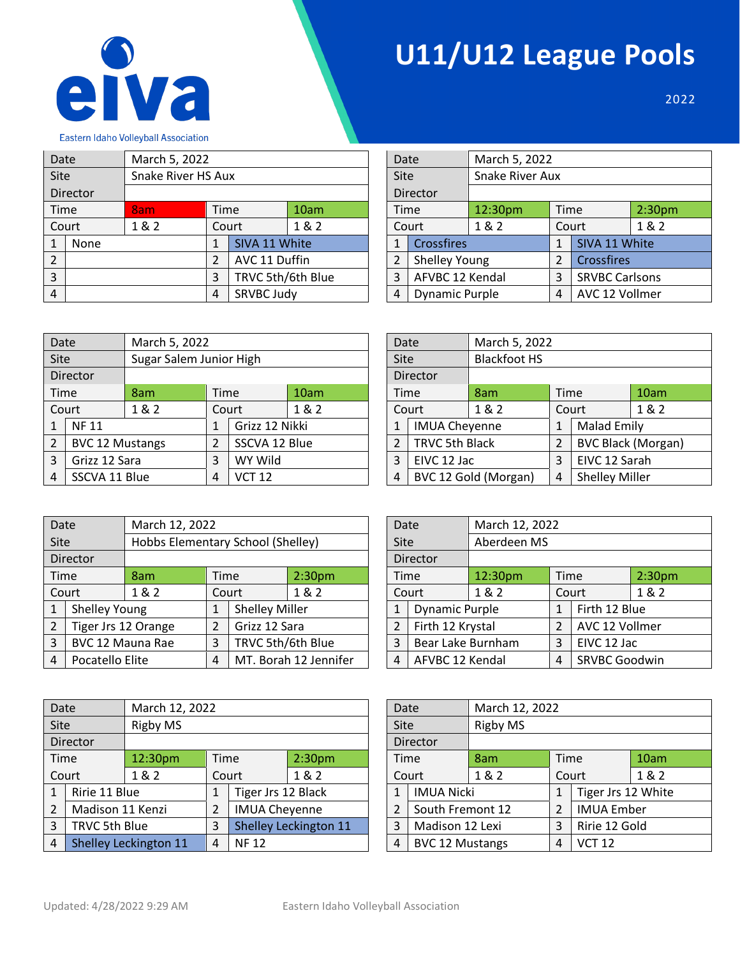

## **U11/U12 League Pools**

2022

Eastern Idaho Volleyball Association

|                | Date     | March 5, 2022      |      |                   |      |  | Date |                       | March 5, 2022          |      |                       |                    |  |
|----------------|----------|--------------------|------|-------------------|------|--|------|-----------------------|------------------------|------|-----------------------|--------------------|--|
| <b>Site</b>    |          | Snake River HS Aux |      |                   |      |  | Site |                       | <b>Snake River Aux</b> |      |                       |                    |  |
|                | Director |                    |      |                   |      |  |      | Director              |                        |      |                       |                    |  |
|                | Time     | 8am                | Time |                   | 10am |  | Time |                       | 12:30pm                | Time |                       | 2:30 <sub>pm</sub> |  |
|                | Court    | 1 & 2              |      | Court             | 1&2  |  |      | Court                 | 1&2                    |      | 1&2<br>Court          |                    |  |
|                | None     |                    |      | SIVA 11 White     |      |  |      | <b>Crossfires</b>     |                        |      | SIVA 11 White         |                    |  |
| $\overline{2}$ |          |                    | 2    | AVC 11 Duffin     |      |  |      | <b>Shelley Young</b>  |                        |      | Crossfires            |                    |  |
| 3              |          |                    | 3    | TRVC 5th/6th Blue |      |  | 3    | AFVBC 12 Kendal       |                        | 3    | <b>SRVBC Carlsons</b> |                    |  |
| 4              |          |                    | 4    | SRVBC Judy        |      |  | 4    | <b>Dynamic Purple</b> |                        | 4    | AVC 12 Vollmer        |                    |  |

| Date           |                       | March 5, 2022   |      |                       |                    |  |  |  |
|----------------|-----------------------|-----------------|------|-----------------------|--------------------|--|--|--|
| <b>Site</b>    |                       | Snake River Aux |      |                       |                    |  |  |  |
|                | Director              |                 |      |                       |                    |  |  |  |
| Time           |                       | 12:30pm         | Time |                       | 2:30 <sub>pm</sub> |  |  |  |
|                | Court                 | 1 & 2           |      | Court                 | 1 & 2              |  |  |  |
| $\mathbf{1}$   | <b>Crossfires</b>     |                 | 1    | SIVA 11 White         |                    |  |  |  |
| $\overline{2}$ | <b>Shelley Young</b>  |                 | 2    | Crossfires            |                    |  |  |  |
| 3              | AFVBC 12 Kendal       |                 | 3    | <b>SRVBC Carlsons</b> |                    |  |  |  |
| 4              | <b>Dynamic Purple</b> |                 |      | AVC 12 Vollmer        |                    |  |  |  |

| Date           |                        | March 5, 2022           |                |                |       |  | Date |                       | March 5, 2022        |                |                       |                           |
|----------------|------------------------|-------------------------|----------------|----------------|-------|--|------|-----------------------|----------------------|----------------|-----------------------|---------------------------|
| Site           |                        | Sugar Salem Junior High |                |                | Site  |  |      |                       | <b>Blackfoot HS</b>  |                |                       |                           |
|                | Director               |                         |                |                |       |  |      | <b>Director</b>       |                      |                |                       |                           |
|                | Time                   | 8am                     | Time           |                | 10am  |  |      | <b>Time</b>           | 8am                  | Time           |                       | 10am                      |
|                | Court                  | 1 & 2                   |                | Court          | 1 & 2 |  |      | Court                 | 1 & 2                | Court          |                       | 1 & 2                     |
|                | <b>NF11</b>            |                         | $\mathbf{1}$   | Grizz 12 Nikki |       |  | 1    | <b>IMUA Cheyenne</b>  |                      | $\mathbf{1}$   | <b>Malad Emily</b>    |                           |
| $\overline{2}$ | <b>BVC 12 Mustangs</b> |                         | $\overline{2}$ | SSCVA 12 Blue  |       |  | 2    | <b>TRVC 5th Black</b> |                      | $\overline{2}$ |                       | <b>BVC Black (Morgan)</b> |
| 3              | Grizz 12 Sara          |                         | 3              | WY Wild        |       |  | 3    | EIVC 12 Jac           |                      | 3              | EIVC 12 Sarah         |                           |
| 4              | SSCVA 11 Blue          |                         | 4              | <b>VCT 12</b>  |       |  | 4    |                       | BVC 12 Gold (Morgan) | 4              | <b>Shelley Miller</b> |                           |

| Date           |                      |                     | March 5, 2022 |                       |                           |  |  |  |  |
|----------------|----------------------|---------------------|---------------|-----------------------|---------------------------|--|--|--|--|
| Site           |                      | <b>Blackfoot HS</b> |               |                       |                           |  |  |  |  |
|                | Director             |                     |               |                       |                           |  |  |  |  |
| Time           |                      | 8am                 | Time          |                       | 10am                      |  |  |  |  |
|                | Court                | 1 & 2               |               | Court                 | 1 & 2                     |  |  |  |  |
| 1              | <b>IMUA Cheyenne</b> |                     | 1             | <b>Malad Emily</b>    |                           |  |  |  |  |
| $\overline{2}$ | TRVC 5th Black       |                     | 2             |                       | <b>BVC Black (Morgan)</b> |  |  |  |  |
| 3              | EIVC 12 Jac          |                     | 3             | EIVC 12 Sarah         |                           |  |  |  |  |
| 4              | BVC 12 Gold (Morgan) |                     |               | <b>Shelley Miller</b> |                           |  |  |  |  |

| Date           |                      | March 12, 2022                    |             |                       |                       | Date           |                       | March 12, 2022 |                           |                |                    |  |  |
|----------------|----------------------|-----------------------------------|-------------|-----------------------|-----------------------|----------------|-----------------------|----------------|---------------------------|----------------|--------------------|--|--|
| <b>Site</b>    |                      | Hobbs Elementary School (Shelley) |             |                       |                       | Site           |                       | Aberdeen MS    |                           |                |                    |  |  |
|                | Director             |                                   |             |                       |                       |                | Director              |                |                           |                |                    |  |  |
|                | Time                 | 8am                               | <b>Time</b> |                       | 2:30 <sub>pm</sub>    | Time           |                       | 12:30pm        | Time                      |                | 2:30 <sub>pm</sub> |  |  |
|                | Court                | 1 & 2                             |             | Court                 | 1&2                   |                | Court                 | 1&2            |                           | Court          | 1&2                |  |  |
| 1              | <b>Shelley Young</b> |                                   | 1           | <b>Shelley Miller</b> |                       |                | <b>Dynamic Purple</b> |                |                           | Firth 12 Blue  |                    |  |  |
| $\overline{2}$ | Tiger Jrs 12 Orange  |                                   | 2           | Grizz 12 Sara         |                       |                | Firth 12 Krystal      |                |                           | AVC 12 Vollmer |                    |  |  |
| 3              | BVC 12 Mauna Rae     |                                   | 3           | TRVC 5th/6th Blue     |                       | 3              | Bear Lake Burnham     |                | 3                         | EIVC 12 Jac    |                    |  |  |
| 4              | Pocatello Elite      |                                   | 4           |                       | MT. Borah 12 Jennifer | $\overline{4}$ | AFVBC 12 Kendal       |                | <b>SRVBC Goodwin</b><br>4 |                |                    |  |  |

| Date           |                  |                       | March 12, 2022   |                      |                       |  | Date           |                        | March 12, 2022  |      |                    |       |
|----------------|------------------|-----------------------|------------------|----------------------|-----------------------|--|----------------|------------------------|-----------------|------|--------------------|-------|
| <b>Site</b>    |                  | Rigby MS              |                  |                      |                       |  | Site           |                        | <b>Rigby MS</b> |      |                    |       |
|                | Director         |                       |                  |                      |                       |  |                | Director               |                 |      |                    |       |
| Time           |                  | 12:30pm               | Time             |                      | 2:30 <sub>pm</sub>    |  | Time           |                        | 8am             | Time |                    | 10am  |
|                | Court            | 1&2                   |                  | Court                | 1&2                   |  |                | Court                  | 1&2             |      | Court              | 1 & 2 |
|                | Ririe 11 Blue    |                       |                  | Tiger Jrs 12 Black   |                       |  |                | <b>IMUA Nicki</b>      |                 |      | Tiger Jrs 12 White |       |
| $\overline{2}$ | Madison 11 Kenzi |                       | 2                | <b>IMUA Cheyenne</b> |                       |  |                | South Fremont 12       |                 | 2    | <b>IMUA Ember</b>  |       |
| 3              | TRVC 5th Blue    |                       | 3                |                      | Shelley Leckington 11 |  | 3              | Madison 12 Lexi        |                 | 3    | Ririe 12 Gold      |       |
| 4              |                  | Shelley Leckington 11 | <b>NF12</b><br>4 |                      |                       |  | $\overline{4}$ | <b>BVC 12 Mustangs</b> |                 | 4    | <b>VCT 12</b>      |       |

| Date           |                       | March 12, 2022 |                |                      |                    |  |  |  |
|----------------|-----------------------|----------------|----------------|----------------------|--------------------|--|--|--|
| Site           |                       | Aberdeen MS    |                |                      |                    |  |  |  |
|                | Director              |                |                |                      |                    |  |  |  |
| Time           |                       | 12:30pm        | Time           |                      | 2:30 <sub>pm</sub> |  |  |  |
|                | Court                 | 1 & 2          |                | Court                | 1&2                |  |  |  |
| 1              | <b>Dynamic Purple</b> |                | 1              | Firth 12 Blue        |                    |  |  |  |
| $\overline{2}$ | Firth 12 Krystal      |                | $\overline{2}$ | AVC 12 Vollmer       |                    |  |  |  |
| 3              | Bear Lake Burnham     |                | 3              | EIVC 12 Jac          |                    |  |  |  |
| 4              | AFVBC 12 Kendal       |                |                | <b>SRVBC Goodwin</b> |                    |  |  |  |

| Date           |                        |                 | March 12, 2022 |                    |       |  |  |  |  |
|----------------|------------------------|-----------------|----------------|--------------------|-------|--|--|--|--|
| Site           |                        | <b>Rigby MS</b> |                |                    |       |  |  |  |  |
|                | Director               |                 |                |                    |       |  |  |  |  |
| Time           |                        | 8am             | Time           |                    | 10am  |  |  |  |  |
|                | Court                  | 1 & 2           |                | Court              | 1 & 2 |  |  |  |  |
| 1              | <b>IMUA Nicki</b>      |                 | 1              | Tiger Jrs 12 White |       |  |  |  |  |
| $\overline{2}$ | South Fremont 12       |                 | $\overline{2}$ | <b>IMUA Ember</b>  |       |  |  |  |  |
| 3              | Madison 12 Lexi        |                 | 3              | Ririe 12 Gold      |       |  |  |  |  |
| 4              | <b>BVC 12 Mustangs</b> |                 |                | <b>VCT 12</b>      |       |  |  |  |  |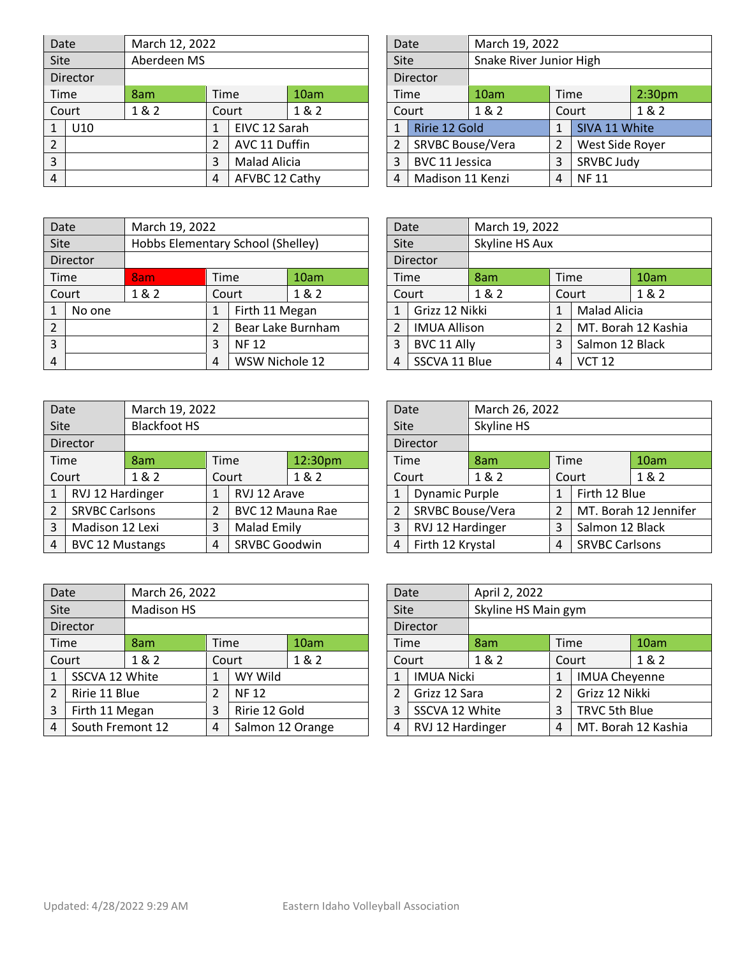| Date           |          |             | March 12, 2022 |                     |      |  | Date        |                         | March 19, 2022          |      |                 |                    |  |
|----------------|----------|-------------|----------------|---------------------|------|--|-------------|-------------------------|-------------------------|------|-----------------|--------------------|--|
| Site           |          | Aberdeen MS |                |                     |      |  | <b>Site</b> |                         | Snake River Junior High |      |                 |                    |  |
|                | Director |             |                |                     |      |  |             | Director                |                         |      |                 |                    |  |
|                | Time     | 8am         | <b>Time</b>    |                     | 10am |  | Time        |                         | 10am                    | Time |                 | 2:30 <sub>pm</sub> |  |
|                | Court    | 1&2         |                | Court               | 1&2  |  |             | Court                   | 1&2                     |      | 1&2<br>Court    |                    |  |
|                | U10      |             |                | EIVC 12 Sarah       |      |  |             | Ririe 12 Gold           |                         |      | SIVA 11 White   |                    |  |
| $\overline{2}$ |          |             | $\overline{2}$ | AVC 11 Duffin       |      |  |             | <b>SRVBC Bouse/Vera</b> |                         |      | West Side Royer |                    |  |
| 3              |          |             | 3              | <b>Malad Alicia</b> |      |  | 3           | BVC 11 Jessica          |                         | 3    | SRVBC Judy      |                    |  |
| $\overline{4}$ |          |             | 4              | AFVBC 12 Cathy      |      |  | 4           | Madison 11 Kenzi        |                         | 4    |                 |                    |  |

| Date           |                         | March 19, 2022 |                         |                 |                    |  |  |  |  |
|----------------|-------------------------|----------------|-------------------------|-----------------|--------------------|--|--|--|--|
| Site           |                         |                | Snake River Junior High |                 |                    |  |  |  |  |
|                | Director                |                |                         |                 |                    |  |  |  |  |
| Time           |                         | 10am           | Time                    |                 | 2:30 <sub>pm</sub> |  |  |  |  |
|                | Court                   | 1 & 2          |                         | Court           | 1 & 2              |  |  |  |  |
| $\mathbf{1}$   | Ririe 12 Gold           |                | 1                       | SIVA 11 White   |                    |  |  |  |  |
| $\overline{2}$ | <b>SRVBC Bouse/Vera</b> |                | 2                       | West Side Royer |                    |  |  |  |  |
| 3              | BVC 11 Jessica          |                | 3                       | SRVBC Judy      |                    |  |  |  |  |
| 4              | Madison 11 Kenzi        |                |                         | <b>NF11</b>     |                    |  |  |  |  |

| Date           |          | March 19, 2022 |   |                                   |                   | Date |                     | March 19, 2022 |                    |                     |                     |  |
|----------------|----------|----------------|---|-----------------------------------|-------------------|------|---------------------|----------------|--------------------|---------------------|---------------------|--|
| <b>Site</b>    |          |                |   | Hobbs Elementary School (Shelley) |                   | Site |                     | Skyline HS Aux |                    |                     |                     |  |
|                | Director |                |   |                                   |                   |      | Director            |                |                    |                     |                     |  |
|                | Time     | 8am            |   | Time                              | 10am              | Time |                     | 8am            | Time               |                     |                     |  |
|                | Court    | 1&2            |   | Court                             | 1 & 2             |      | Court               | 1&2            | Court              |                     | 1&2                 |  |
|                | No one   |                | 1 | Firth 11 Megan                    |                   | 1    | Grizz 12 Nikki      |                |                    | <b>Malad Alicia</b> |                     |  |
| $\overline{2}$ |          |                | 2 |                                   | Bear Lake Burnham | 2    | <b>IMUA Allison</b> |                |                    |                     | MT. Borah 12 Kashia |  |
| 3              |          |                | 3 | <b>NF12</b>                       |                   | 3    | BVC 11 Ally         |                | 3                  | Salmon 12 Black     |                     |  |
| 4              |          |                | 4 | WSW Nichole 12                    |                   | 4    | SSCVA 11 Blue       |                | <b>VCT 12</b><br>4 |                     |                     |  |

| Date |                        | March 19, 2022      |      |                      |         |                | Date        |                         | March 26, 2022 |                            |                 |                       |  |
|------|------------------------|---------------------|------|----------------------|---------|----------------|-------------|-------------------------|----------------|----------------------------|-----------------|-----------------------|--|
| Site |                        | <b>Blackfoot HS</b> |      |                      |         |                | <b>Site</b> |                         | Skyline HS     |                            |                 |                       |  |
|      | Director               |                     |      |                      |         |                | Director    |                         |                |                            |                 |                       |  |
|      | Time                   | 8am                 | Time |                      | 12:30pm |                |             | Time                    | 8am            | Time                       |                 | 10am                  |  |
|      | Court                  | 1&2                 |      | Court                | 1 & 2   |                |             | Court                   | 1&2            |                            | Court           | 1&2                   |  |
| 1    | RVJ 12 Hardinger       |                     |      | RVJ 12 Arave         |         |                |             | Dynamic Purple          |                | 1                          | Firth 12 Blue   |                       |  |
| 2    | <b>SRVBC Carlsons</b>  |                     |      | BVC 12 Mauna Rae     |         | $\overline{2}$ |             | <b>SRVBC Bouse/Vera</b> |                | 2                          |                 | MT. Borah 12 Jennifer |  |
| 3    | Madison 12 Lexi        |                     | 3    | <b>Malad Emily</b>   |         | 3              |             | RVJ 12 Hardinger        |                | 3                          | Salmon 12 Black |                       |  |
| 4    | <b>BVC 12 Mustangs</b> |                     | 4    | <b>SRVBC Goodwin</b> |         | 4              |             | Firth 12 Krystal        |                | <b>SRVBC Carlsons</b><br>4 |                 |                       |  |

| Date           |                     | March 19, 2022 |       |                     |                     |  |  |
|----------------|---------------------|----------------|-------|---------------------|---------------------|--|--|
| <b>Site</b>    |                     | Skyline HS Aux |       |                     |                     |  |  |
|                | Director            |                |       |                     |                     |  |  |
| Time           |                     | 8am            | Time  |                     | 10am                |  |  |
|                | Court               | 1 & 2          | Court |                     | 1 & 2               |  |  |
| 1              | Grizz 12 Nikki      |                | 1     | <b>Malad Alicia</b> |                     |  |  |
| $\overline{2}$ | <b>IMUA Allison</b> |                | 2     |                     | MT. Borah 12 Kashia |  |  |
| 3              | BVC 11 Ally         |                |       | Salmon 12 Black     |                     |  |  |
| 4              | SSCVA 11 Blue       |                |       | <b>VCT 12</b>       |                     |  |  |

| Date                  |                       | March 26, 2022 |                |                       |                       |  |
|-----------------------|-----------------------|----------------|----------------|-----------------------|-----------------------|--|
| <b>Site</b>           |                       | Skyline HS     |                |                       |                       |  |
|                       | Director              |                |                |                       |                       |  |
| Time                  |                       | 8am            | Time           |                       | 10am                  |  |
|                       | Court                 | 1 & 2          | Court          |                       | 1 & 2                 |  |
| $\mathbf{1}$          | <b>Dynamic Purple</b> |                | 1              | Firth 12 Blue         |                       |  |
| $\overline{2}$        | SRVBC Bouse/Vera      |                | $\overline{2}$ |                       | MT. Borah 12 Jennifer |  |
| 3<br>RVJ 12 Hardinger |                       |                | 3              | Salmon 12 Black       |                       |  |
| Firth 12 Krystal<br>4 |                       |                | 4              | <b>SRVBC Carlsons</b> |                       |  |

| Date           |                                           |                   | March 26, 2022 |         |                  |                | Date           |                   | April 2, 2022       |       |                      |  |  |
|----------------|-------------------------------------------|-------------------|----------------|---------|------------------|----------------|----------------|-------------------|---------------------|-------|----------------------|--|--|
| Site           |                                           | <b>Madison HS</b> |                |         |                  |                | Site           |                   | Skyline HS Main gym |       |                      |  |  |
|                | Director                                  |                   |                |         |                  | Director       |                |                   |                     |       |                      |  |  |
| Time<br>8am    |                                           | Time              |                | 10am    | Time             |                |                | 8am               | Time                |       | 10am                 |  |  |
| Court          |                                           | 1 & 2             |                | Court   | 1 & 2            | Court          |                | 1 & 2             |                     | Court | 1 & 2                |  |  |
| 1              | SSCVA 12 White                            |                   | 1              | WY Wild |                  |                | 1              | <b>IMUA Nicki</b> |                     |       | <b>IMUA Cheyenne</b> |  |  |
| $\overline{2}$ | Ririe 11 Blue<br>2<br><b>NF12</b>         |                   |                |         | 2                | Grizz 12 Sara  |                |                   | Grizz 12 Nikki      |       |                      |  |  |
| 3              | Firth 11 Megan<br>Ririe 12 Gold<br>3      |                   |                | 3       |                  | SSCVA 12 White |                | TRVC 5th Blue     |                     |       |                      |  |  |
| 4              | South Fremont 12<br>Salmon 12 Orange<br>4 |                   |                | 4       | RVJ 12 Hardinger |                | $\overline{4}$ |                   | MT. Borah 12 Kashia |       |                      |  |  |

| Date                  |                   | April 2, 2022       |       |                      |      |  |  |
|-----------------------|-------------------|---------------------|-------|----------------------|------|--|--|
| Site                  |                   | Skyline HS Main gym |       |                      |      |  |  |
|                       | Director          |                     |       |                      |      |  |  |
| Time                  |                   | 8am                 | Time  |                      | 10am |  |  |
|                       | Court             | 1 & 2               | Court |                      | 1&2  |  |  |
| 1                     | <b>IMUA Nicki</b> |                     | 1     | <b>IMUA Cheyenne</b> |      |  |  |
| $\overline{2}$        | Grizz 12 Sara     |                     | 2     | Grizz 12 Nikki       |      |  |  |
| 3                     | SSCVA 12 White    |                     |       | <b>TRVC 5th Blue</b> |      |  |  |
| RVJ 12 Hardinger<br>4 |                   |                     | 4     | MT. Borah 12 Kashia  |      |  |  |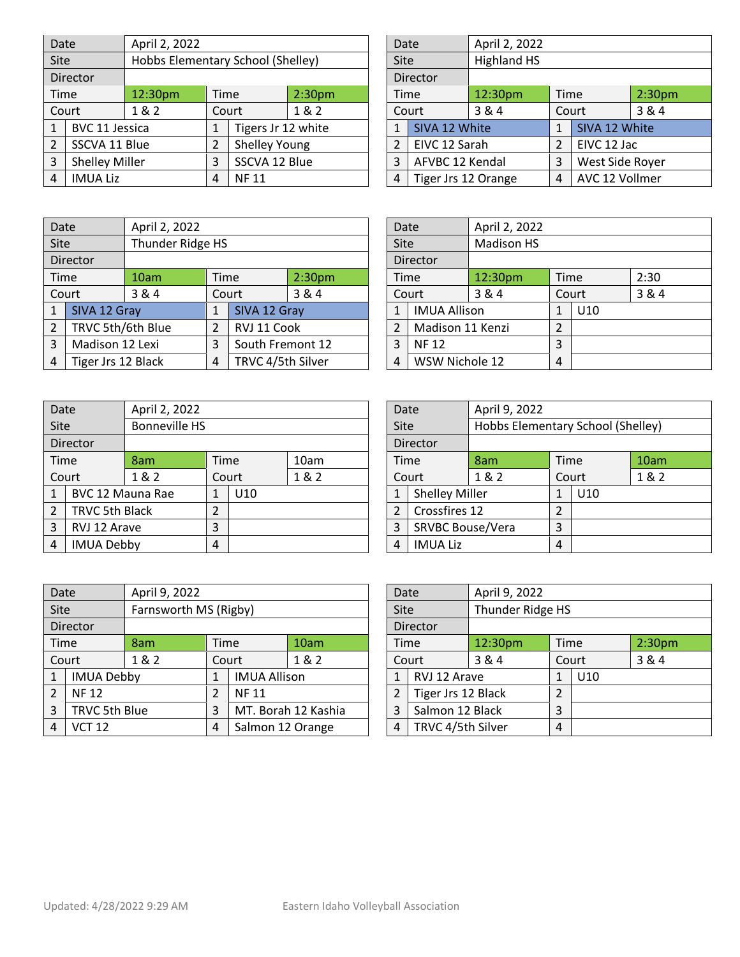| Date                 |                       | April 2, 2022                     |                |                      |      |          | Date                |                 | April 2, 2022      |                    |                 |       |
|----------------------|-----------------------|-----------------------------------|----------------|----------------------|------|----------|---------------------|-----------------|--------------------|--------------------|-----------------|-------|
| <b>Site</b>          |                       | Hobbs Elementary School (Shelley) |                |                      |      |          | <b>Site</b>         |                 | <b>Highland HS</b> |                    |                 |       |
|                      | Director              |                                   |                |                      |      | Director |                     |                 |                    |                    |                 |       |
| 12:30pm<br>Time      |                       | Time                              |                | 2:30 <sub>pm</sub>   | Time |          | 12:30pm             | Time            |                    | 2:30 <sub>pm</sub> |                 |       |
| 1 & 2<br>Court       |                       |                                   |                | Court                | 1&2  |          |                     | Court           | 3 & 4              |                    | Court           | 3 & 4 |
|                      | BVC 11 Jessica        |                                   | 1              | Tigers Jr 12 white   |      |          |                     | SIVA 12 White   |                    |                    | SIVA 12 White   |       |
| $\overline{2}$       | SSCVA 11 Blue         |                                   | $\overline{2}$ | <b>Shelley Young</b> |      |          |                     | EIVC 12 Sarah   |                    |                    | EIVC 12 Jac     |       |
| 3                    | <b>Shelley Miller</b> |                                   | 3              | SSCVA 12 Blue        |      |          | 3                   | AFVBC 12 Kendal |                    | 3                  | West Side Royer |       |
| <b>IMUA Liz</b><br>4 |                       | 4                                 | <b>NF11</b>    |                      |      | 4        | Tiger Jrs 12 Orange |                 | 4                  | AVC 12 Vollmer     |                 |       |

| Date           |                     | April 2, 2022      |              |                 |                    |
|----------------|---------------------|--------------------|--------------|-----------------|--------------------|
| Site           |                     | <b>Highland HS</b> |              |                 |                    |
|                | Director            |                    |              |                 |                    |
| Time           |                     | 12:30pm            | Time         |                 | 2:30 <sub>pm</sub> |
|                | Court               | 3 & 4              | Court        |                 | 3 & 4              |
| 1              | SIVA 12 White       |                    | $\mathbf{1}$ | SIVA 12 White   |                    |
| $\overline{2}$ | EIVC 12 Sarah       |                    | 2            | EIVC 12 Jac     |                    |
| 3              | AFVBC 12 Kendal     |                    | 3            | West Side Royer |                    |
| 4              | Tiger Jrs 12 Orange |                    |              | AVC 12 Vollmer  |                    |

| Date |                    | April 2, 2022         |      |                  |                    |       |             | Date                | April 2, 2022     |       |      |  |
|------|--------------------|-----------------------|------|------------------|--------------------|-------|-------------|---------------------|-------------------|-------|------|--|
| Site |                    | Thunder Ridge HS      |      |                  |                    |       | <b>Site</b> |                     | <b>Madison HS</b> |       |      |  |
|      | Director           |                       |      |                  |                    |       | Director    |                     |                   |       |      |  |
|      | Time               | 10am                  | Time |                  | 2:30 <sub>pm</sub> | Time  |             | 12:30pm             | Time              |       | 2:30 |  |
|      | Court              | 3 & 4<br>3&4<br>Court |      |                  |                    | Court | 3 & 4       |                     | Court             | 3 & 4 |      |  |
|      | SIVA 12 Gray       |                       |      | SIVA 12 Gray     |                    |       | 1           | <b>IMUA Allison</b> |                   | 1     | U10  |  |
| 2    | TRVC 5th/6th Blue  |                       | 2    | RVJ 11 Cook      |                    |       |             | Madison 11 Kenzi    |                   | 2     |      |  |
| 3    | Madison 12 Lexi    |                       | 3    | South Fremont 12 |                    |       | 3           | <b>NF12</b>         |                   | 3     |      |  |
| 4    | Tiger Jrs 12 Black |                       | 4    |                  | TRVC 4/5th Silver  |       | 4           | WSW Nichole 12      |                   | 4     |      |  |

| Date           |                                  | April 2, 2022        |              |     |                 |                  |                | Date                  | April 9, 2022 |                                   |     |  |
|----------------|----------------------------------|----------------------|--------------|-----|-----------------|------------------|----------------|-----------------------|---------------|-----------------------------------|-----|--|
| <b>Site</b>    |                                  | <b>Bonneville HS</b> |              |     |                 |                  | Site           |                       |               | Hobbs Elementary School (Shelley) |     |  |
|                | Director                         |                      |              |     | Director        |                  |                |                       |               |                                   |     |  |
|                | Time                             | 8am                  | Time<br>10am |     |                 | Time             | 8am            | Time                  |               | 10am                              |     |  |
|                | Court<br>1 & 2<br>1 & 2<br>Court |                      |              |     |                 | Court            | 1&2            |                       | Court         | 1&2                               |     |  |
|                | BVC 12 Mauna Rae                 |                      |              | U10 |                 |                  | 1              | <b>Shelley Miller</b> |               |                                   | U10 |  |
| $\overline{2}$ | TRVC 5th Black                   |                      | 2            |     |                 |                  | $\overline{2}$ | Crossfires 12         |               | $\overline{2}$                    |     |  |
| 3              | RVJ 12 Arave                     | 3                    |              |     | 3               | SRVBC Bouse/Vera |                | 3                     |               |                                   |     |  |
| 4              | <b>IMUA Debby</b><br>4           |                      |              | 4   | <b>IMUA Liz</b> |                  | 4              |                       |               |                                   |     |  |

| Date        |                     | April 2, 2022     |       |                 |       |
|-------------|---------------------|-------------------|-------|-----------------|-------|
| <b>Site</b> |                     | <b>Madison HS</b> |       |                 |       |
|             | Director            |                   |       |                 |       |
| Time        |                     | 12:30pm           | Time  |                 | 2:30  |
|             | Court               | 3 & 4             | Court |                 | 3 & 4 |
| 1           | <b>IMUA Allison</b> |                   | 1     | U <sub>10</sub> |       |
| 2           | Madison 11 Kenzi    |                   | 2     |                 |       |
| 3           | <b>NF12</b>         |                   |       |                 |       |
| 4           | WSW Nichole 12      |                   |       |                 |       |

| Date           |                         | April 9, 2022                     |                |                 |       |  |  |  |
|----------------|-------------------------|-----------------------------------|----------------|-----------------|-------|--|--|--|
| Site           |                         | Hobbs Elementary School (Shelley) |                |                 |       |  |  |  |
|                | Director                |                                   |                |                 |       |  |  |  |
| Time           |                         | 8am                               | Time           |                 | 10am  |  |  |  |
| Court          |                         | 1 & 2                             | Court          |                 | 1 & 2 |  |  |  |
| 1              | <b>Shelley Miller</b>   |                                   | $\mathbf 1$    | U <sub>10</sub> |       |  |  |  |
| $\overline{2}$ | Crossfires 12           |                                   | $\mathfrak{p}$ |                 |       |  |  |  |
| 3              | <b>SRVBC Bouse/Vera</b> |                                   | 3              |                 |       |  |  |  |
| 4              | <b>IMUA Liz</b>         |                                   |                |                 |       |  |  |  |

| Date           |                                        | April 9, 2022                             |                |                     |                   |                 |      | Date                | April 9, 2022    |      |                    |       |  |
|----------------|----------------------------------------|-------------------------------------------|----------------|---------------------|-------------------|-----------------|------|---------------------|------------------|------|--------------------|-------|--|
| Site           |                                        | Farnsworth MS (Rigby)                     |                |                     |                   |                 | Site |                     | Thunder Ridge HS |      |                    |       |  |
|                | Director                               |                                           |                |                     |                   | Director        |      |                     |                  |      |                    |       |  |
| Time<br>8am    |                                        |                                           | Time           | 10am                |                   |                 | Time | 12:30 <sub>pm</sub> |                  | Time | 2:30 <sub>pm</sub> |       |  |
|                | Court<br>1 & 2                         |                                           |                | 1&2<br>Court        |                   |                 |      | Court               | 3 & 4            |      | Court              | 3 & 4 |  |
| $\mathbf{1}$   | <b>IMUA Debby</b>                      |                                           | 1              | <b>IMUA Allison</b> |                   |                 |      | RVJ 12 Arave        |                  |      | U10                |       |  |
| $\overline{2}$ | <b>NF12</b>                            |                                           | $\overline{2}$ | <b>NF11</b>         |                   |                 |      | Tiger Jrs 12 Black  |                  |      |                    |       |  |
| 3              |                                        | TRVC 5th Blue<br>MT. Borah 12 Kashia<br>3 |                |                     | 3                 | Salmon 12 Black |      | 3                   |                  |      |                    |       |  |
| 4              | Salmon 12 Orange<br><b>VCT 12</b><br>4 |                                           |                | 4                   | TRVC 4/5th Silver |                 | 4    |                     |                  |      |                    |       |  |

| Date |                    | April 9, 2022    |       |                 |                    |  |  |  |
|------|--------------------|------------------|-------|-----------------|--------------------|--|--|--|
| Site |                    | Thunder Ridge HS |       |                 |                    |  |  |  |
|      | Director           |                  |       |                 |                    |  |  |  |
|      | Time               | 12:30pm          | Time  |                 | 2:30 <sub>pm</sub> |  |  |  |
|      | Court              | 3 & 4            | Court |                 | 3 & 4              |  |  |  |
| 1    | RVJ 12 Arave       |                  | 1     | U <sub>10</sub> |                    |  |  |  |
| 2    | Tiger Jrs 12 Black |                  |       |                 |                    |  |  |  |
| 3    | Salmon 12 Black    |                  |       |                 |                    |  |  |  |
| 4    | TRVC 4/5th Silver  |                  |       |                 |                    |  |  |  |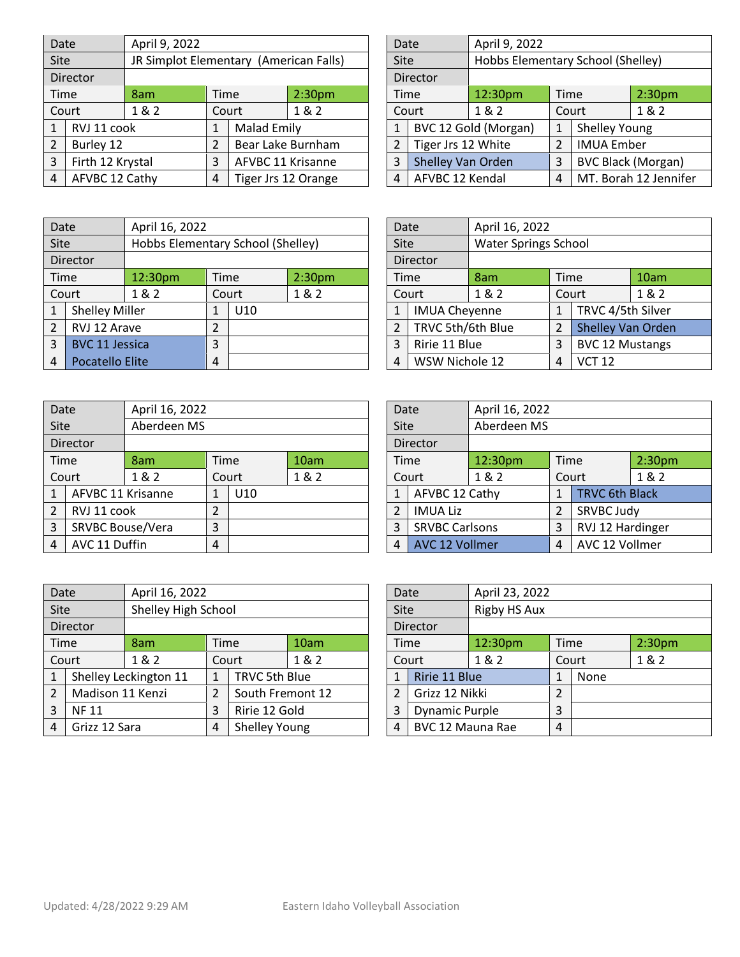| Date      | April 9, 2022                            |                                                   |  |                    |                                                                                                        | Date |                 | April 9, 2022                     |                                                                 |                           |                    |  |
|-----------|------------------------------------------|---------------------------------------------------|--|--------------------|--------------------------------------------------------------------------------------------------------|------|-----------------|-----------------------------------|-----------------------------------------------------------------|---------------------------|--------------------|--|
|           |                                          |                                                   |  |                    |                                                                                                        |      |                 | Hobbs Elementary School (Shelley) |                                                                 |                           |                    |  |
|           |                                          |                                                   |  |                    |                                                                                                        |      |                 |                                   |                                                                 |                           |                    |  |
|           | 8am                                      |                                                   |  | 2:30 <sub>pm</sub> |                                                                                                        |      |                 | 12:30pm                           |                                                                 |                           | 2:30 <sub>pm</sub> |  |
|           | 1 & 2                                    |                                                   |  | 1 & 2              |                                                                                                        |      | 1&2             |                                   |                                                                 |                           | 1&2                |  |
|           |                                          |                                                   |  |                    |                                                                                                        |      |                 |                                   |                                                                 | Shelley Young             |                    |  |
| Burley 12 |                                          |                                                   |  |                    |                                                                                                        |      |                 |                                   | 2                                                               | <b>IMUA Ember</b>         |                    |  |
|           |                                          | 3                                                 |  |                    |                                                                                                        | 3    |                 |                                   | 3                                                               | <b>BVC Black (Morgan)</b> |                    |  |
|           |                                          | Tiger Jrs 12 Orange<br>4                          |  |                    | 4                                                                                                      |      | AFVBC 12 Kendal |                                   | MT. Borah 12 Jennifer                                           |                           |                    |  |
|           | <b>Site</b><br>Director<br>Time<br>Court | RVJ 11 cook<br>Firth 12 Krystal<br>AFVBC 12 Cathy |  | Time<br>Court      | JR Simplot Elementary (American Falls)<br><b>Malad Emily</b><br>Bear Lake Burnham<br>AFVBC 11 Krisanne |      |                 | Site<br>Director<br>Time<br>Court | BVC 12 Gold (Morgan)<br>Tiger Jrs 12 White<br>Shelley Van Orden | 4                         | Time<br>Court      |  |

| Date           |                    | April 9, 2022                     |               |                           |                       |  |  |
|----------------|--------------------|-----------------------------------|---------------|---------------------------|-----------------------|--|--|
| Site           |                    | Hobbs Elementary School (Shelley) |               |                           |                       |  |  |
|                | Director           |                                   |               |                           |                       |  |  |
| Time           |                    | 12:30pm                           | Time          |                           | 2:30 <sub>pm</sub>    |  |  |
|                | Court              | 1 & 2                             |               | 1 & 2<br>Court            |                       |  |  |
| $\mathbf{1}$   |                    | BVC 12 Gold (Morgan)              | 1             | <b>Shelley Young</b>      |                       |  |  |
| $\overline{2}$ | Tiger Jrs 12 White |                                   | $\mathcal{L}$ | <b>IMUA Ember</b>         |                       |  |  |
| 3              | Shelley Van Orden  |                                   |               | <b>BVC Black (Morgan)</b> |                       |  |  |
| 4              | AFVBC 12 Kendal    |                                   |               |                           | MT. Borah 12 Jennifer |  |  |

| Date           |                       | April 16, 2022                    |      |       |                    | Date |                      | April 16, 2022              |             |                        |      |
|----------------|-----------------------|-----------------------------------|------|-------|--------------------|------|----------------------|-----------------------------|-------------|------------------------|------|
| <b>Site</b>    |                       | Hobbs Elementary School (Shelley) |      |       |                    | Site |                      | <b>Water Springs School</b> |             |                        |      |
|                | Director              |                                   |      |       |                    |      | Director             |                             |             |                        |      |
|                | Time                  | 12:30pm                           | Time |       | 2:30 <sub>pm</sub> | Time |                      | 8am                         | <b>Time</b> |                        | 10am |
|                | Court                 | 1 & 2                             |      | Court | 1&2                |      | Court                | 1&2<br>Court                |             |                        | 1&2  |
| 1              | <b>Shelley Miller</b> |                                   |      | U10   |                    |      | <b>IMUA Cheyenne</b> |                             |             | TRVC 4/5th Silver      |      |
| $\overline{2}$ | RVJ 12 Arave          |                                   | 2    |       |                    |      | TRVC 5th/6th Blue    |                             |             | Shelley Van Orden      |      |
| 3              | <b>BVC 11 Jessica</b> |                                   | 3    |       |                    | 3    | Ririe 11 Blue        |                             | 3           | <b>BVC 12 Mustangs</b> |      |
| 4              | Pocatello Elite       |                                   | 4    |       |                    | 4    | WSW Nichole 12       |                             | 4           | <b>VCT 12</b>          |      |

| Date           |                   | April 16, 2022 |                |       |       | Date           |                       | April 16, 2022 |                |                       |                    |
|----------------|-------------------|----------------|----------------|-------|-------|----------------|-----------------------|----------------|----------------|-----------------------|--------------------|
| <b>Site</b>    |                   | Aberdeen MS    |                |       |       | Site           |                       | Aberdeen MS    |                |                       |                    |
|                | Director          |                |                |       |       |                | Director              |                |                |                       |                    |
|                | Time              | 8am            | Time           |       | 10am  | Time           |                       | 12:30pm        | Time           |                       | 2:30 <sub>pm</sub> |
|                | Court             | 1 & 2          |                | Court | 1 & 2 |                | Court                 | 1 & 2<br>Court |                | 1&2                   |                    |
|                | AFVBC 11 Krisanne |                | 1              | U10   |       |                | AFVBC 12 Cathy        |                |                | <b>TRVC 6th Black</b> |                    |
| $\overline{2}$ | RVJ 11 cook       |                | $\overline{2}$ |       |       |                | <b>IMUA Liz</b>       |                |                | SRVBC Judy            |                    |
| 3              | SRVBC Bouse/Vera  |                | 3              |       |       | 3              | <b>SRVBC Carlsons</b> |                | 3              | RVJ 12 Hardinger      |                    |
| 4              | AVC 11 Duffin     |                | $\overline{4}$ |       | 4     | AVC 12 Vollmer |                       | 4              | AVC 12 Vollmer |                       |                    |

| Date           |                      | April 16, 2022              |       |                        |      |  |  |
|----------------|----------------------|-----------------------------|-------|------------------------|------|--|--|
| Site           |                      | <b>Water Springs School</b> |       |                        |      |  |  |
|                | Director             |                             |       |                        |      |  |  |
| Time           |                      | 8am                         | Time  |                        | 10am |  |  |
|                | Court                | 1 & 2                       | Court | 1 & 2                  |      |  |  |
| 1              | <b>IMUA Cheyenne</b> |                             | 1     | TRVC 4/5th Silver      |      |  |  |
| $\overline{2}$ | TRVC 5th/6th Blue    |                             | 2     | Shelley Van Orden      |      |  |  |
| 3              | Ririe 11 Blue        |                             | 3     | <b>BVC 12 Mustangs</b> |      |  |  |
| 4              | WSW Nichole 12       |                             |       | <b>VCT 12</b>          |      |  |  |

| Date           |                       | April 16, 2022 |              |                       |                    |  |  |
|----------------|-----------------------|----------------|--------------|-----------------------|--------------------|--|--|
| Site           |                       | Aberdeen MS    |              |                       |                    |  |  |
|                | Director              |                |              |                       |                    |  |  |
| Time           |                       | 12:30pm        | Time         |                       | 2:30 <sub>pm</sub> |  |  |
|                | Court                 | 1 & 2          |              | 1 & 2<br>Court        |                    |  |  |
| $\mathbf{1}$   | AFVBC 12 Cathy        |                | $\mathbf{1}$ | <b>TRVC 6th Black</b> |                    |  |  |
| $\overline{2}$ | <b>IMUA Liz</b>       |                | 2            | SRVBC Judy            |                    |  |  |
| 3              | <b>SRVBC Carlsons</b> |                | 3            | RVJ 12 Hardinger      |                    |  |  |
| 4              | <b>AVC 12 Vollmer</b> |                | 4            | AVC 12 Vollmer        |                    |  |  |

| Date           |                  | April 16, 2022        |   |                      |       |  | April 23, 2022<br>Date |                       |                     |   |       |                    |
|----------------|------------------|-----------------------|---|----------------------|-------|--|------------------------|-----------------------|---------------------|---|-------|--------------------|
| <b>Site</b>    |                  | Shelley High School   |   |                      |       |  | Site                   |                       | <b>Rigby HS Aux</b> |   |       |                    |
|                | Director         |                       |   |                      |       |  |                        | Director              |                     |   |       |                    |
|                | Time             | 8am                   |   | Time                 | 10am  |  |                        | Time                  | 12:30 <sub>pm</sub> |   | Time  | 2:30 <sub>pm</sub> |
|                | Court            | 1&2                   |   | Court                | 1 & 2 |  |                        | Court                 | 1&2                 |   | Court | 1&2                |
| $\mathbf{1}$   |                  | Shelley Leckington 11 | 1 | TRVC 5th Blue        |       |  |                        | Ririe 11 Blue         |                     |   | None  |                    |
| $\overline{2}$ | Madison 11 Kenzi |                       | 2 | South Fremont 12     |       |  |                        | Grizz 12 Nikki        |                     | 2 |       |                    |
| 3              | <b>NF11</b>      |                       | 3 | Ririe 12 Gold        |       |  | 3                      | <b>Dynamic Purple</b> |                     | 3 |       |                    |
| 4              | Grizz 12 Sara    |                       | 4 | <b>Shelley Young</b> |       |  | 4                      | BVC 12 Mauna Rae      |                     | 4 |       |                    |

| Date          |                       |              | April 23, 2022 |       |                    |  |  |  |  |  |
|---------------|-----------------------|--------------|----------------|-------|--------------------|--|--|--|--|--|
| Site          |                       | Rigby HS Aux |                |       |                    |  |  |  |  |  |
|               | <b>Director</b>       |              |                |       |                    |  |  |  |  |  |
| Time          |                       | 12:30pm      | Time           |       | 2:30 <sub>pm</sub> |  |  |  |  |  |
|               | 1 & 2<br>Court        |              |                | Court | 1 & 2              |  |  |  |  |  |
| 1             | Ririe 11 Blue         |              | 1              | None  |                    |  |  |  |  |  |
| $\mathcal{P}$ | Grizz 12 Nikki        |              | 2              |       |                    |  |  |  |  |  |
| 3             | <b>Dynamic Purple</b> |              | 3              |       |                    |  |  |  |  |  |
| 4             | BVC 12 Mauna Rae      |              | 4              |       |                    |  |  |  |  |  |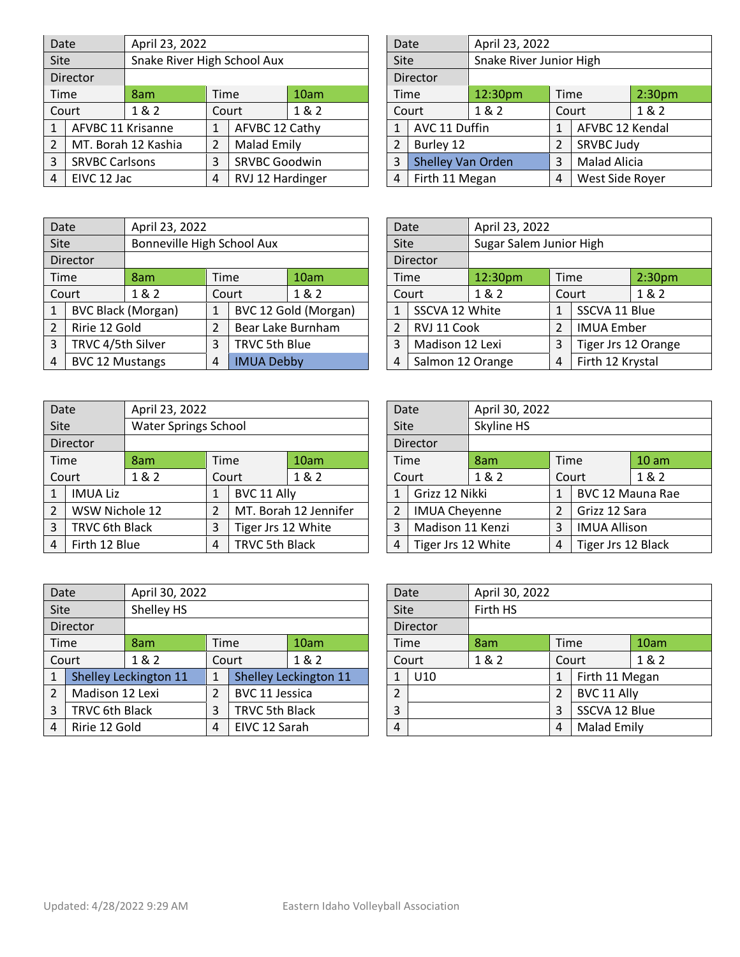| Date           |                       | April 23, 2022              |                |                    |                      |  | Date |                | April 23, 2022           |                         |                     |                    |
|----------------|-----------------------|-----------------------------|----------------|--------------------|----------------------|--|------|----------------|--------------------------|-------------------------|---------------------|--------------------|
| <b>Site</b>    |                       | Snake River High School Aux |                |                    |                      |  | Site |                |                          | Snake River Junior High |                     |                    |
|                | Director              |                             |                |                    |                      |  |      | Director       |                          |                         |                     |                    |
|                | Time                  | 8am                         | <b>Time</b>    |                    | 10am                 |  | Time |                | 12:30pm                  | Time                    |                     | 2:30 <sub>pm</sub> |
|                | Court                 | 1 & 2                       |                | Court              | 1&2                  |  |      | Court          | 1&2                      | Court                   |                     | 1&2                |
| $\mathbf{1}$   | AFVBC 11 Krisanne     |                             | 1              | AFVBC 12 Cathy     |                      |  |      | AVC 11 Duffin  |                          |                         | AFVBC 12 Kendal     |                    |
| $\overline{2}$ |                       | MT. Borah 12 Kashia         | $\overline{2}$ | <b>Malad Emily</b> |                      |  |      | Burley 12      |                          |                         | SRVBC Judy          |                    |
| 3              | <b>SRVBC Carlsons</b> |                             | 3              |                    | <b>SRVBC Goodwin</b> |  | 3    |                | <b>Shelley Van Orden</b> |                         | <b>Malad Alicia</b> |                    |
| 4              | EIVC 12 Jac           |                             | 4              |                    | RVJ 12 Hardinger     |  | 4    | Firth 11 Megan |                          | 4                       | West Side Royer     |                    |

| Date           |                   | April 23, 2022          |      |                     |                    |  |  |  |
|----------------|-------------------|-------------------------|------|---------------------|--------------------|--|--|--|
| Site           |                   | Snake River Junior High |      |                     |                    |  |  |  |
|                | Director          |                         |      |                     |                    |  |  |  |
| Time           |                   | 12:30pm                 | Time |                     | 2:30 <sub>pm</sub> |  |  |  |
|                | Court             | 1&2                     |      | Court               | 1 & 2              |  |  |  |
| 1              | AVC 11 Duffin     |                         | 1    | AFVBC 12 Kendal     |                    |  |  |  |
| $\overline{2}$ | Burley 12         |                         | 2    | SRVBC Judy          |                    |  |  |  |
| 3              | Shelley Van Orden |                         | 3    | <b>Malad Alicia</b> |                    |  |  |  |
| 4              | Firth 11 Megan    |                         |      | West Side Royer     |                    |  |  |  |

| April 23, 2022<br>Bonneville High School Aux |  |      |                  | April 23, 2022          |                               |                     |                    |
|----------------------------------------------|--|------|------------------|-------------------------|-------------------------------|---------------------|--------------------|
|                                              |  | Site |                  | Sugar Salem Junior High |                               |                     |                    |
|                                              |  |      | Director         |                         |                               |                     |                    |
| 10am                                         |  |      |                  | 12:30pm                 |                               |                     | 2:30 <sub>pm</sub> |
| 1&2                                          |  |      |                  | 1&2<br>Court            |                               |                     | 1&2                |
| BVC 12 Gold (Morgan)                         |  |      |                  |                         |                               | SSCVA 11 Blue       |                    |
| Bear Lake Burnham                            |  |      |                  |                         |                               | <b>IMUA Ember</b>   |                    |
| TRVC 5th Blue                                |  | 3    | Madison 12 Lexi  |                         | 3                             | Tiger Jrs 12 Orange |                    |
| <b>IMUA Debby</b>                            |  | 4    | Salmon 12 Orange |                         | 4                             | Firth 12 Krystal    |                    |
|                                              |  |      |                  | Time<br>Court           | SSCVA 12 White<br>RVJ 11 Cook |                     | Time               |

| Date           |                 | April 23, 2022              |                |             |                       |  | Date |                      | April 30, 2022     |      |                         |       |
|----------------|-----------------|-----------------------------|----------------|-------------|-----------------------|--|------|----------------------|--------------------|------|-------------------------|-------|
| <b>Site</b>    |                 | <b>Water Springs School</b> |                |             |                       |  | Site |                      | Skyline HS         |      |                         |       |
|                | Director        |                             |                |             |                       |  |      | Director             |                    |      |                         |       |
|                | Time            | 8am                         | Time           |             | 10am                  |  | Time |                      | 8am                | Time |                         | 10 am |
|                | Court           | 1 & 2                       |                | Court       | 1&2                   |  |      | 1&2<br>Court         |                    |      | Court                   | 1 & 2 |
| 1              | <b>IMUA Liz</b> |                             | $\mathbf{1}$   | BVC 11 Ally |                       |  | 1    | Grizz 12 Nikki       |                    |      | <b>BVC 12 Mauna Rae</b> |       |
| $\overline{2}$ | WSW Nichole 12  |                             | $\overline{2}$ |             | MT. Borah 12 Jennifer |  |      | <b>IMUA Cheyenne</b> |                    |      | Grizz 12 Sara           |       |
| 3              | TRVC 6th Black  |                             | 3              |             | Tiger Jrs 12 White    |  | 3    | Madison 11 Kenzi     |                    | 3    | <b>IMUA Allison</b>     |       |
| 4              | Firth 12 Blue   |                             | 4              |             | <b>TRVC 5th Black</b> |  | 4    |                      | Tiger Jrs 12 White |      | Tiger Jrs 12 Black      |       |

| Date           |                      | April 30, 2022 |              |                     |                  |  |  |
|----------------|----------------------|----------------|--------------|---------------------|------------------|--|--|
| <b>Site</b>    |                      | Skyline HS     |              |                     |                  |  |  |
|                | Director             |                |              |                     |                  |  |  |
| Time           |                      | 8am            | Time         |                     | 10 <sub>am</sub> |  |  |
|                | Court                | 1 & 2          | Court        |                     | 1 & 2            |  |  |
| 1              | Grizz 12 Nikki       |                | $\mathbf{1}$ | BVC 12 Mauna Rae    |                  |  |  |
| $\overline{2}$ | <b>IMUA Cheyenne</b> |                | 2            | Grizz 12 Sara       |                  |  |  |
| 3              | Madison 11 Kenzi     |                |              | <b>IMUA Allison</b> |                  |  |  |
| 4              | Tiger Jrs 12 White   |                |              | Tiger Jrs 12 Black  |                  |  |  |

| Date           |                    | April 30, 2022        |   |                       |                       |                  | Date           |                 | April 30, 2022 |                |                    |       |
|----------------|--------------------|-----------------------|---|-----------------------|-----------------------|------------------|----------------|-----------------|----------------|----------------|--------------------|-------|
|                | Shelley HS<br>Site |                       |   |                       |                       | Firth HS<br>Site |                |                 |                |                |                    |       |
|                | Director           |                       |   | Director              |                       |                  |                |                 |                |                |                    |       |
|                | Time               | 8am                   |   | Time                  | 10am                  |                  |                | Time            | 8am            |                | Time               | 10am  |
|                | Court              | 1 & 2                 |   | Court                 | 1 & 2                 |                  |                | Court           | 1&2            |                | Court              | 1 & 2 |
| 1              |                    | Shelley Leckington 11 |   |                       | Shelley Leckington 11 |                  |                | U <sub>10</sub> |                |                | Firth 11 Megan     |       |
| $\overline{2}$ | Madison 12 Lexi    |                       | 2 | BVC 11 Jessica        |                       |                  | $\overline{2}$ |                 |                | $\mathfrak{p}$ | BVC 11 Ally        |       |
| 3              | TRVC 6th Black     |                       | 3 | <b>TRVC 5th Black</b> |                       |                  | 3              |                 |                | 3              | SSCVA 12 Blue      |       |
| 4              | Ririe 12 Gold      |                       | 4 | EIVC 12 Sarah         |                       |                  | 4              |                 |                | 4              | <b>Malad Emily</b> |       |

| Date           |          | April 30, 2022 |                     |                    |       |
|----------------|----------|----------------|---------------------|--------------------|-------|
| Site           |          | Firth HS       |                     |                    |       |
|                | Director |                |                     |                    |       |
| Time           |          | 8am            | Time                |                    | 10am  |
|                | Court    | 1 & 2          | Court               |                    | 1 & 2 |
| $\mathbf{1}$   | U10      |                | Firth 11 Megan<br>1 |                    |       |
| $\overline{2}$ |          |                | BVC 11 Ally<br>2    |                    |       |
| 3              |          |                | 3                   | SSCVA 12 Blue      |       |
| 4              |          |                | 4                   | <b>Malad Emily</b> |       |